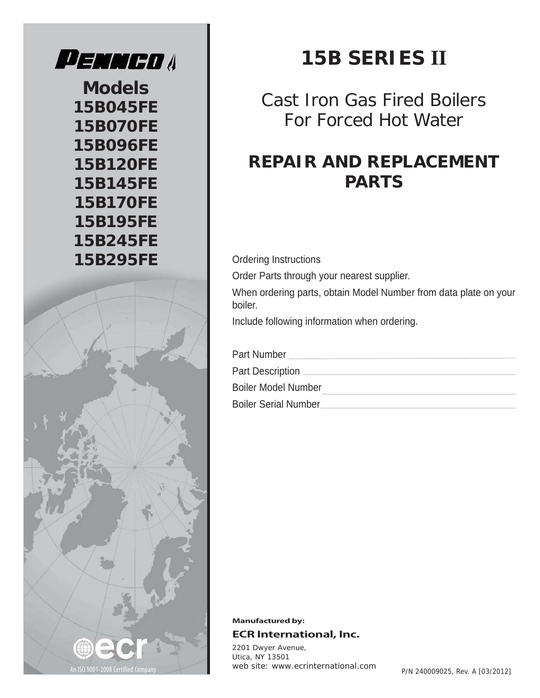

**Models 15B045FE 15B070FE 15B096FE 15B120FE 15B145FE 15B170FE 15B195FE 15B245FE** 15B295FE **Ordering Instructions** 



Cast Iron Gas Fired Boilers For Forced Hot Water

# **REPAIR AND REPLACEMENT PARTS**

Order Parts through your nearest supplier. When ordering parts, obtain Model Number from data plate on your boiler. Include following information when ordering.

Part Number

Part Description \_

Boiler Model Number

Boiler Serial Number



**Manufactured by: ECR International, Inc.**

*2201 Dwyer Avenue, Utica, NY 13501 web site: www.ecrinternational.com*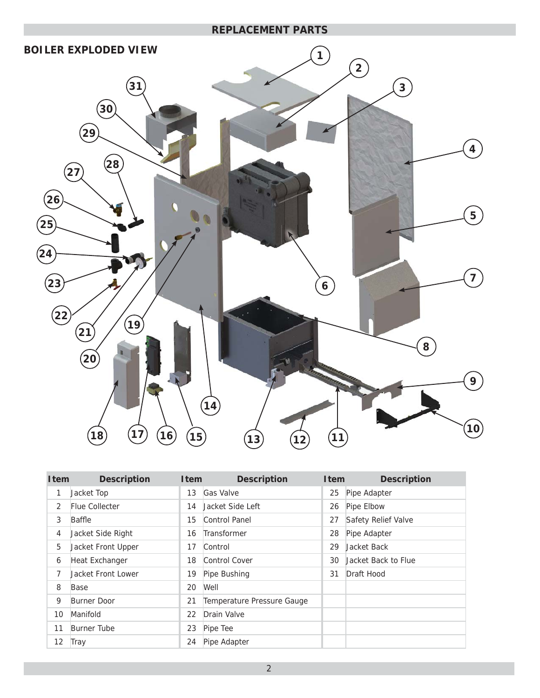

| <b>I</b> tem | <b>Description</b>    | <b>I</b> tem | <b>Description</b>         | <b>I</b> tem | <b>Description</b>  |
|--------------|-----------------------|--------------|----------------------------|--------------|---------------------|
| 1            | Jacket Top            | 13           | Gas Valve                  | 25           | Pipe Adapter        |
| 2            | <b>Flue Collecter</b> | 14           | Jacket Side Left           | 26           | Pipe Elbow          |
| 3            | Baffle                | 15           | Control Panel              | 27           | Safety Relief Valve |
| 4            | Jacket Side Right     | 16           | Transformer                | 28           | Pipe Adapter        |
| 5            | Jacket Front Upper    | 17           | Control                    | 29           | Jacket Back         |
| 6            | Heat Exchanger        | 18           | Control Cover              | 30           | Jacket Back to Flue |
| 7            | Jacket Front Lower    | 19           | Pipe Bushing               | 31           | Draft Hood          |
| 8            | Base                  | 20           | Well                       |              |                     |
| 9            | <b>Burner Door</b>    | 21           | Temperature Pressure Gauge |              |                     |
| 10           | Manifold              | 22           | Drain Valve                |              |                     |
| 11           | Burner Tube           | 23           | Pipe Tee                   |              |                     |
| 12           | Tray                  | 24           | Pipe Adapter               |              |                     |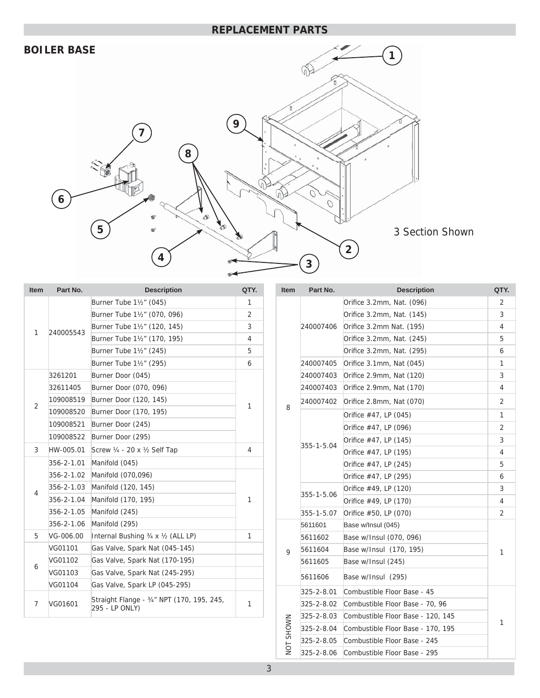## **BOILER BASE**



| <b>Item</b>    | Part No.   | <b>Description</b>                                           | QTY.                                    |
|----------------|------------|--------------------------------------------------------------|-----------------------------------------|
|                |            | Burner Tube 11/2" (045)                                      | 1                                       |
|                |            | Burner Tube 11/2" (070, 096)                                 | 2                                       |
| 1              | 240005543  | Burner Tube 1½" (120, 145)                                   | 3                                       |
|                |            | Burner Tube 11/2" (170, 195)                                 | 4                                       |
|                |            | Burner Tube 11/2" (245)                                      | 5                                       |
|                |            | Burner Tube 11/2" (295)                                      | 6<br>1<br>$\overline{4}$<br>1<br>1<br>1 |
|                | 3261201    | Burner Door (045)                                            |                                         |
|                | 32611405   | Burner Door (070, 096)                                       |                                         |
| $\overline{2}$ | 109008519  | Burner Door (120, 145)                                       |                                         |
|                | 109008520  | Burner Door (170, 195)                                       |                                         |
|                | 109008521  | Burner Door (245)                                            |                                         |
|                | 109008522  | Burner Door (295)                                            |                                         |
| 3              | HW-005.01  | Screw 1/4 - 20 x 1/2 Self Tap                                |                                         |
|                | 356-2-1.01 | Manifold (045)                                               |                                         |
|                | 356-2-1.02 | Manifold (070,096)                                           |                                         |
|                | 356-2-1.03 | Manifold (120, 145)                                          |                                         |
| 4              | 356-2-1.04 | Manifold (170, 195)                                          |                                         |
|                | 356-2-1.05 | Manifold (245)                                               |                                         |
|                | 356-2-1.06 | Manifold (295)                                               |                                         |
| 5              | VG-006.00  | Internal Bushing 3/4 x 1/2 (ALL LP)                          |                                         |
|                | VG01101    | Gas Valve, Spark Nat (045-145)                               |                                         |
| 6              | VG01102    | Gas Valve, Spark Nat (170-195)                               |                                         |
|                | VG01103    | Gas Valve, Spark Nat (245-295)                               |                                         |
|                | VG01104    | Gas Valve, Spark LP (045-295)                                |                                         |
| 7              | VG01601    | Straight Flange - 3/4" NPT (170, 195, 245,<br>295 - LP ONLY) |                                         |

| ltem      | Part No.   | <b>Description</b>                | QTY.           |
|-----------|------------|-----------------------------------|----------------|
|           |            | Orifice 3.2mm, Nat. (096)         | 2              |
|           | 240007406  | Orifice 3.2mm, Nat. (145)         | 3              |
|           |            | Orifice 3.2mm Nat. (195)          | 4              |
|           |            | Orifice 3.2mm, Nat. (245)         | 5              |
|           |            | Orifice 3.2mm, Nat. (295)         | 6              |
|           | 240007405  | Orifice 3.1mm, Nat (045)          | 1              |
|           | 240007403  | Orifice 2.9mm, Nat (120)          | 3              |
|           | 240007403  | Orifice 2.9mm, Nat (170)          | 4              |
| 8         | 240007402  | Orifice 2.8mm, Nat (070)          | $\overline{2}$ |
|           |            | Orifice #47, LP (045)             | 1              |
|           |            | Orifice #47, LP (096)             | 2              |
|           |            | Orifice #47, LP (145)             | 3              |
|           | 355-1-5.04 | Orifice #47, LP (195)             | 4              |
|           |            | Orifice #47, LP (245)             | 5              |
|           |            | Orifice #47, LP (295)             | 6              |
|           | 355-1-5.06 | Orifice #49, LP (120)             | 3              |
|           |            | Orifice #49, LP (170)             | 4              |
|           | 355-1-5.07 | Orifice #50, LP (070)             | $\overline{2}$ |
|           | 5611601    | Base w/Insul (045)                |                |
|           | 5611602    | Base w/Insul (070, 096)           |                |
| 9         | 5611604    | Base w/Insul (170, 195)           | 1              |
|           | 5611605    | Base w/Insul (245)                |                |
|           | 5611606    | Base w/Insul (295)                |                |
|           | 325-2-8.01 | Combustible Floor Base - 45       |                |
|           | 325-2-8.02 | Combustible Floor Base - 70, 96   |                |
|           | 325-2-8.03 | Combustible Floor Base - 120, 145 | 1              |
| NOT SHOWN | 325-2-8.04 | Combustible Floor Base - 170, 195 |                |
|           | 325-2-8.05 | Combustible Floor Base - 245      |                |
|           | 325-2-8.06 | Combustible Floor Base - 295      |                |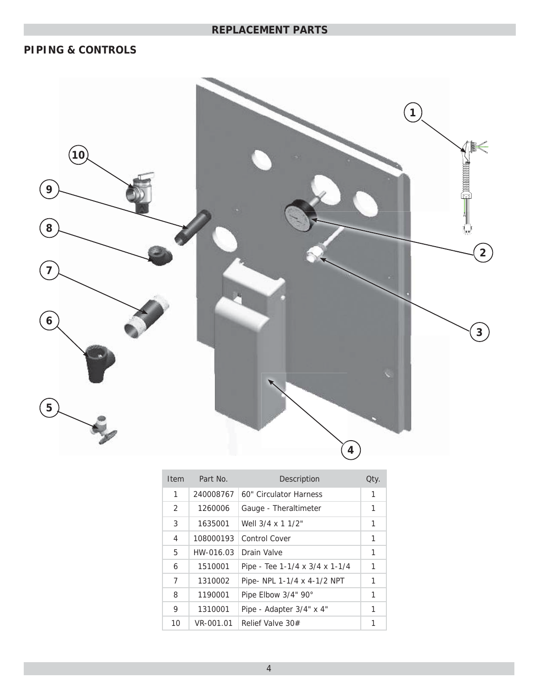## **PIPING & CONTROLS**



| Item          | Part No.  | Description                    | Qty. |
|---------------|-----------|--------------------------------|------|
| 1             | 240008767 | 60" Circulator Harness         | 1    |
| $\mathcal{P}$ | 1260006   | Gauge - Theraltimeter          | 1    |
| 3             | 1635001   | Well 3/4 x 1 1/2"              | 1    |
| 4             | 108000193 | Control Cover                  | 1    |
| 5             | HW-016.03 | Drain Valve                    | 1    |
| 6             | 1510001   | Pipe - Tee 1-1/4 x 3/4 x 1-1/4 | 1    |
| 7             | 1310002   | Pipe- NPL 1-1/4 x 4-1/2 NPT    | 1    |
| 8             | 1190001   | Pipe Elbow 3/4" 90°            | 1    |
| 9             | 1310001   | Pipe - Adapter 3/4" x 4"       | 1    |
| 10            | VR-001.01 | Relief Valve 30#               | 1    |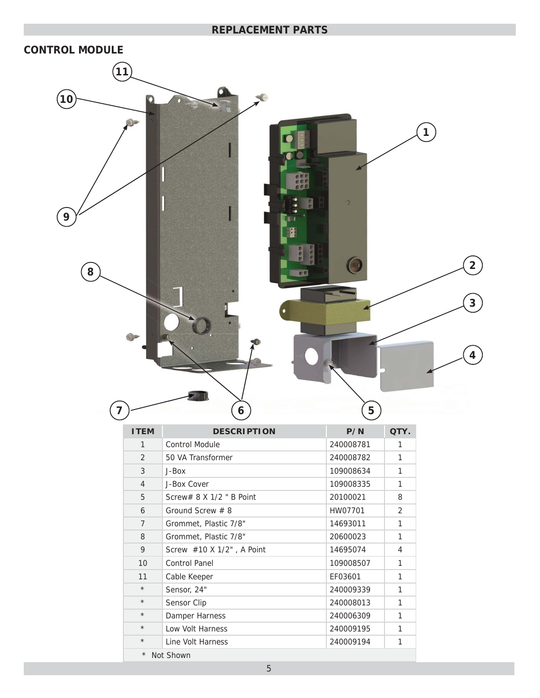

| <b>ITEM</b>           | <b>DESCRIPTION</b>              | P/N       | QTY.           |
|-----------------------|---------------------------------|-----------|----------------|
| 1                     | <b>Control Module</b>           | 240008781 | 1              |
| $\overline{2}$        | 50 VA Transformer               | 240008782 | 1              |
| 3                     | J-Box                           | 109008634 | 1              |
| $\overline{4}$        | J-Box Cover                     | 109008335 | 1              |
| 5                     | Screw# $8 \times 1/2$ " B Point | 20100021  | 8              |
| 6                     | Ground Screw $# 8$              | HW07701   | $\overline{2}$ |
| $\overline{7}$        | Grommet, Plastic 7/8"           | 14693011  | 1              |
| 8                     | Grommet, Plastic 7/8"           | 20600023  | 1              |
| 9                     | Screw #10 X 1/2", A Point       | 14695074  | 4              |
| 10                    | Control Panel                   | 109008507 | 1              |
| 11                    | Cable Keeper                    | EF03601   | 1              |
| $\star$               | Sensor, 24"                     | 240009339 | 1              |
| $\star$               | Sensor Clip                     | 240008013 | $\mathbf{1}$   |
| $\star$               | Damper Harness                  | 240006309 | 1              |
| $\star$               | Low Volt Harness                | 240009195 | 1              |
| $\star$               | Line Volt Harness               | 240009194 | 1              |
| $^\star$<br>Not Shown |                                 |           |                |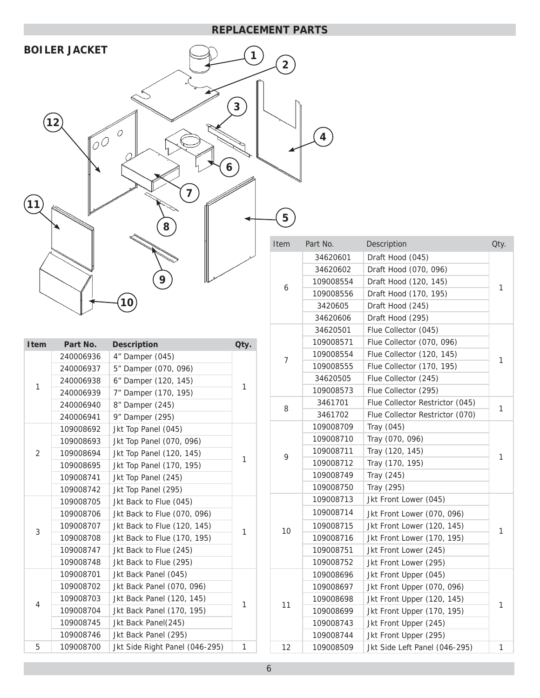**4**



| <b>Item</b>    | Part No.  | <b>Description</b>             | Qty. |
|----------------|-----------|--------------------------------|------|
|                | 240006936 | 4" Damper (045)                |      |
|                | 240006937 | 5" Damper (070, 096)           |      |
| 1              | 240006938 | 6" Damper (120, 145)           | 1    |
|                | 240006939 | 7" Damper (170, 195)           |      |
|                | 240006940 | 8" Damper (245)                |      |
|                | 240006941 | 9" Damper (295)                |      |
|                | 109008692 | Jkt Top Panel (045)            |      |
|                | 109008693 | Jkt Top Panel (070, 096)       |      |
| $\overline{2}$ | 109008694 | Jkt Top Panel (120, 145)       | 1    |
|                | 109008695 | Jkt Top Panel (170, 195)       |      |
|                | 109008741 | Jkt Top Panel (245)            |      |
|                | 109008742 | Jkt Top Panel (295)            |      |
|                | 109008705 | Jkt Back to Flue (045)         |      |
|                | 109008706 | Jkt Back to Flue (070, 096)    |      |
|                | 109008707 | Jkt Back to Flue (120, 145)    |      |
| 3              | 109008708 | Jkt Back to Flue (170, 195)    | 1    |
|                | 109008747 | Jkt Back to Flue (245)         |      |
|                | 109008748 | Jkt Back to Flue (295)         |      |
|                | 109008701 | Jkt Back Panel (045)           |      |
|                | 109008702 | Jkt Back Panel (070, 096)      |      |
|                | 109008703 | Jkt Back Panel (120, 145)      |      |
| 4              | 109008704 | Jkt Back Panel (170, 195)      | 1    |
|                | 109008745 | Jkt Back Panel(245)            |      |
|                | 109008746 | Jkt Back Panel (295)           |      |
| 5              | 109008700 | Jkt Side Right Panel (046-295) |      |

| Item           | Part No.  | Description<br>Qty.             |   |
|----------------|-----------|---------------------------------|---|
|                | 34620601  | Draft Hood (045)                |   |
|                | 34620602  | Draft Hood (070, 096)           |   |
| 6              | 109008554 | Draft Hood (120, 145)           | 1 |
|                | 109008556 | Draft Hood (170, 195)           |   |
|                | 3420605   | Draft Hood (245)                |   |
|                | 34620606  | Draft Hood (295)                |   |
|                | 34620501  | Flue Collector (045)            |   |
|                | 109008571 | Flue Collector (070, 096)       |   |
| $\overline{7}$ | 109008554 | Flue Collector (120, 145)       | 1 |
|                | 109008555 | Flue Collector (170, 195)       |   |
|                | 34620505  | Flue Collector (245)            |   |
|                | 109008573 | Flue Collector (295)            |   |
| 8              | 3461701   | Flue Collector Restrictor (045) | 1 |
|                | 3461702   | Flue Collector Restrictor (070) |   |
|                | 109008709 | Tray (045)                      |   |
|                | 109008710 | Tray (070, 096)                 |   |
| 9              | 109008711 | Tray (120, 145)                 | 1 |
|                | 109008712 | Tray (170, 195)                 |   |
|                | 109008749 | Tray (245)                      |   |
|                | 109008750 | Tray (295)                      |   |
|                | 109008713 | Jkt Front Lower (045)           |   |
|                | 109008714 | Jkt Front Lower (070, 096)      |   |
|                | 109008715 | Jkt Front Lower (120, 145)      |   |
| 10             | 109008716 | Jkt Front Lower (170, 195)      | 1 |
|                | 109008751 | Jkt Front Lower (245)           |   |
|                | 109008752 | Jkt Front Lower (295)           |   |
|                | 109008696 | Jkt Front Upper (045)           |   |
|                | 109008697 | Jkt Front Upper (070, 096)      |   |
|                | 109008698 | Jkt Front Upper (120, 145)      |   |
| 11             | 109008699 | Jkt Front Upper (170, 195)      | 1 |
|                | 109008743 | Jkt Front Upper (245)           |   |
|                | 109008744 | Jkt Front Upper (295)           |   |
| 12             | 109008509 | Jkt Side Left Panel (046-295)   |   |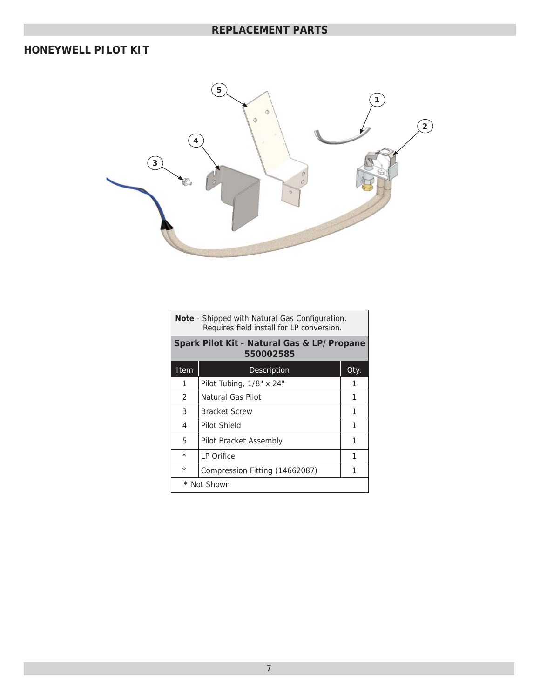## **HONEYWELL PILOT KIT**



| <b>Note</b> - Shipped with Natural Gas Configuration.<br>Requires field install for LP conversion. |                                                         |      |  |  |
|----------------------------------------------------------------------------------------------------|---------------------------------------------------------|------|--|--|
|                                                                                                    | Spark Pilot Kit - Natural Gas & LP/Propane<br>550002585 |      |  |  |
| Item                                                                                               | Description                                             | Qty. |  |  |
| 1                                                                                                  | Pilot Tubing, 1/8" x 24"                                |      |  |  |
| $\mathcal{P}$                                                                                      | Natural Gas Pilot                                       | 1    |  |  |
| 3                                                                                                  | <b>Bracket Screw</b>                                    | 1    |  |  |
| 4                                                                                                  | Pilot Shield                                            | 1    |  |  |
| 5                                                                                                  | Pilot Bracket Assembly                                  | 1    |  |  |
| $\star$<br>1<br>LP Orifice                                                                         |                                                         |      |  |  |
| $\star$                                                                                            | Compression Fitting (14662087)                          |      |  |  |
|                                                                                                    | * Not Shown                                             |      |  |  |